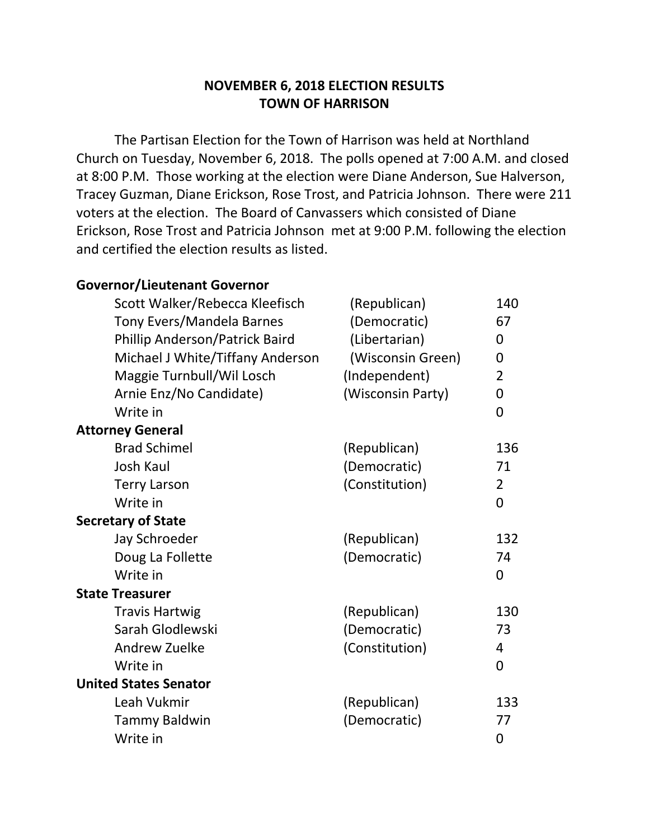## **NOVEMBER 6, 2018 ELECTION RESULTS TOWN OF HARRISON**

The Partisan Election for the Town of Harrison was held at Northland Church on Tuesday, November 6, 2018. The polls opened at 7:00 A.M. and closed at 8:00 P.M. Those working at the election were Diane Anderson, Sue Halverson, Tracey Guzman, Diane Erickson, Rose Trost, and Patricia Johnson. There were 211 voters at the election. The Board of Canvassers which consisted of Diane Erickson, Rose Trost and Patricia Johnson met at 9:00 P.M. following the election and certified the election results as listed.

| <b>Governor/Lieutenant Governor</b> |                   |                |
|-------------------------------------|-------------------|----------------|
| Scott Walker/Rebecca Kleefisch      | (Republican)      | 140            |
| Tony Evers/Mandela Barnes           | (Democratic)      | 67             |
| Phillip Anderson/Patrick Baird      | (Libertarian)     | 0              |
| Michael J White/Tiffany Anderson    | (Wisconsin Green) | 0              |
| Maggie Turnbull/Wil Losch           | (Independent)     | $\overline{2}$ |
| Arnie Enz/No Candidate)             | (Wisconsin Party) | 0              |
| Write in                            |                   | 0              |
| <b>Attorney General</b>             |                   |                |
| <b>Brad Schimel</b>                 | (Republican)      | 136            |
| Josh Kaul                           | (Democratic)      | 71             |
| <b>Terry Larson</b>                 | (Constitution)    | $\overline{2}$ |
| Write in                            |                   | $\overline{0}$ |
| <b>Secretary of State</b>           |                   |                |
| Jay Schroeder                       | (Republican)      | 132            |
| Doug La Follette                    | (Democratic)      | 74             |
| Write in                            |                   | 0              |
| <b>State Treasurer</b>              |                   |                |
| <b>Travis Hartwig</b>               | (Republican)      | 130            |
| Sarah Glodlewski                    | (Democratic)      | 73             |
| Andrew Zuelke                       | (Constitution)    | 4              |
| Write in                            |                   | 0              |
| <b>United States Senator</b>        |                   |                |
| Leah Vukmir                         | (Republican)      | 133            |
| <b>Tammy Baldwin</b>                | (Democratic)      | 77             |
| Write in                            |                   | 0              |